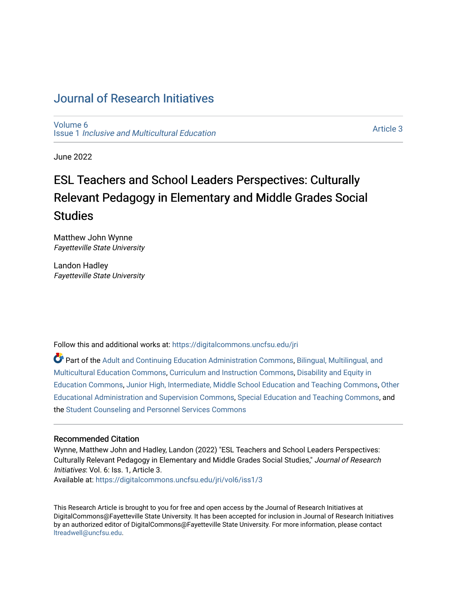# [Journal of Research Initiatives](https://digitalcommons.uncfsu.edu/jri)

[Volume 6](https://digitalcommons.uncfsu.edu/jri/vol6) Issue 1 [Inclusive and Multicultural Education](https://digitalcommons.uncfsu.edu/jri/vol6/iss1) 

[Article 3](https://digitalcommons.uncfsu.edu/jri/vol6/iss1/3) 

June 2022

# ESL Teachers and School Leaders Perspectives: Culturally Relevant Pedagogy in Elementary and Middle Grades Social **Studies**

Matthew John Wynne Fayetteville State University

Landon Hadley Fayetteville State University

Follow this and additional works at: [https://digitalcommons.uncfsu.edu/jri](https://digitalcommons.uncfsu.edu/jri?utm_source=digitalcommons.uncfsu.edu%2Fjri%2Fvol6%2Fiss1%2F3&utm_medium=PDF&utm_campaign=PDFCoverPages) 

Part of the [Adult and Continuing Education Administration Commons](https://network.bepress.com/hgg/discipline/789?utm_source=digitalcommons.uncfsu.edu%2Fjri%2Fvol6%2Fiss1%2F3&utm_medium=PDF&utm_campaign=PDFCoverPages), [Bilingual, Multilingual, and](https://network.bepress.com/hgg/discipline/785?utm_source=digitalcommons.uncfsu.edu%2Fjri%2Fvol6%2Fiss1%2F3&utm_medium=PDF&utm_campaign=PDFCoverPages)  [Multicultural Education Commons,](https://network.bepress.com/hgg/discipline/785?utm_source=digitalcommons.uncfsu.edu%2Fjri%2Fvol6%2Fiss1%2F3&utm_medium=PDF&utm_campaign=PDFCoverPages) [Curriculum and Instruction Commons,](https://network.bepress.com/hgg/discipline/786?utm_source=digitalcommons.uncfsu.edu%2Fjri%2Fvol6%2Fiss1%2F3&utm_medium=PDF&utm_campaign=PDFCoverPages) [Disability and Equity in](https://network.bepress.com/hgg/discipline/1040?utm_source=digitalcommons.uncfsu.edu%2Fjri%2Fvol6%2Fiss1%2F3&utm_medium=PDF&utm_campaign=PDFCoverPages)  [Education Commons,](https://network.bepress.com/hgg/discipline/1040?utm_source=digitalcommons.uncfsu.edu%2Fjri%2Fvol6%2Fiss1%2F3&utm_medium=PDF&utm_campaign=PDFCoverPages) [Junior High, Intermediate, Middle School Education and Teaching Commons](https://network.bepress.com/hgg/discipline/807?utm_source=digitalcommons.uncfsu.edu%2Fjri%2Fvol6%2Fiss1%2F3&utm_medium=PDF&utm_campaign=PDFCoverPages), [Other](https://network.bepress.com/hgg/discipline/794?utm_source=digitalcommons.uncfsu.edu%2Fjri%2Fvol6%2Fiss1%2F3&utm_medium=PDF&utm_campaign=PDFCoverPages) [Educational Administration and Supervision Commons,](https://network.bepress.com/hgg/discipline/794?utm_source=digitalcommons.uncfsu.edu%2Fjri%2Fvol6%2Fiss1%2F3&utm_medium=PDF&utm_campaign=PDFCoverPages) [Special Education and Teaching Commons](https://network.bepress.com/hgg/discipline/801?utm_source=digitalcommons.uncfsu.edu%2Fjri%2Fvol6%2Fiss1%2F3&utm_medium=PDF&utm_campaign=PDFCoverPages), and the [Student Counseling and Personnel Services Commons](https://network.bepress.com/hgg/discipline/802?utm_source=digitalcommons.uncfsu.edu%2Fjri%2Fvol6%2Fiss1%2F3&utm_medium=PDF&utm_campaign=PDFCoverPages) 

# Recommended Citation

Wynne, Matthew John and Hadley, Landon (2022) "ESL Teachers and School Leaders Perspectives: Culturally Relevant Pedagogy in Elementary and Middle Grades Social Studies," Journal of Research Initiatives: Vol. 6: Iss. 1, Article 3. Available at: [https://digitalcommons.uncfsu.edu/jri/vol6/iss1/3](https://digitalcommons.uncfsu.edu/jri/vol6/iss1/3?utm_source=digitalcommons.uncfsu.edu%2Fjri%2Fvol6%2Fiss1%2F3&utm_medium=PDF&utm_campaign=PDFCoverPages) 

This Research Article is brought to you for free and open access by the Journal of Research Initiatives at DigitalCommons@Fayetteville State University. It has been accepted for inclusion in Journal of Research Initiatives by an authorized editor of DigitalCommons@Fayetteville State University. For more information, please contact [ltreadwell@uncfsu.edu](mailto:ltreadwell@uncfsu.edu).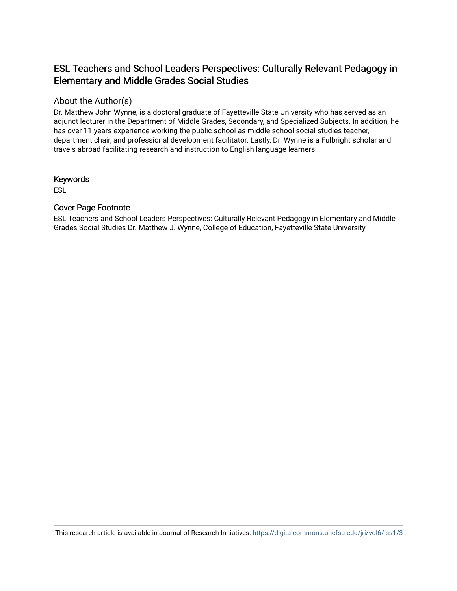# ESL Teachers and School Leaders Perspectives: Culturally Relevant Pedagogy in Elementary and Middle Grades Social Studies

# About the Author(s)

Dr. Matthew John Wynne, is a doctoral graduate of Fayetteville State University who has served as an adjunct lecturer in the Department of Middle Grades, Secondary, and Specialized Subjects. In addition, he has over 11 years experience working the public school as middle school social studies teacher, department chair, and professional development facilitator. Lastly, Dr. Wynne is a Fulbright scholar and travels abroad facilitating research and instruction to English language learners.

# Keywords

ESL

# Cover Page Footnote

ESL Teachers and School Leaders Perspectives: Culturally Relevant Pedagogy in Elementary and Middle Grades Social Studies Dr. Matthew J. Wynne, College of Education, Fayetteville State University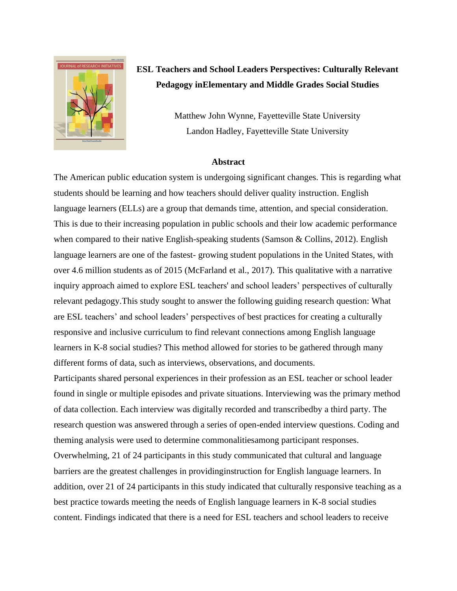

# **ESL Teachers and School Leaders Perspectives: Culturally Relevant Pedagogy inElementary and Middle Grades Social Studies**

Matthew John Wynne, Fayetteville State University Landon Hadley, Fayetteville State University

#### **Abstract**

The American public education system is undergoing significant changes. This is regarding what students should be learning and how teachers should deliver quality instruction. English language learners (ELLs) are a group that demands time, attention, and special consideration. This is due to their increasing population in public schools and their low academic performance when compared to their native English-speaking students (Samson & Collins, 2012). English language learners are one of the fastest- growing student populations in the United States, with over 4.6 million students as of 2015 (McFarland et al., 2017). This qualitative with a narrative inquiry approach aimed to explore ESL teachers' and school leaders' perspectives of culturally relevant pedagogy.This study sought to answer the following guiding research question: What are ESL teachers' and school leaders' perspectives of best practices for creating a culturally responsive and inclusive curriculum to find relevant connections among English language learners in K-8 social studies? This method allowed for stories to be gathered through many different forms of data, such as interviews, observations, and documents.

Participants shared personal experiences in their profession as an ESL teacher or school leader found in single or multiple episodes and private situations. Interviewing was the primary method of data collection. Each interview was digitally recorded and transcribedby a third party. The research question was answered through a series of open-ended interview questions. Coding and theming analysis were used to determine commonalitiesamong participant responses. Overwhelming, 21 of 24 participants in this study communicated that cultural and language barriers are the greatest challenges in providinginstruction for English language learners. In addition, over 21 of 24 participants in this study indicated that culturally responsive teaching as a best practice towards meeting the needs of English language learners in K-8 social studies content. Findings indicated that there is a need for ESL teachers and school leaders to receive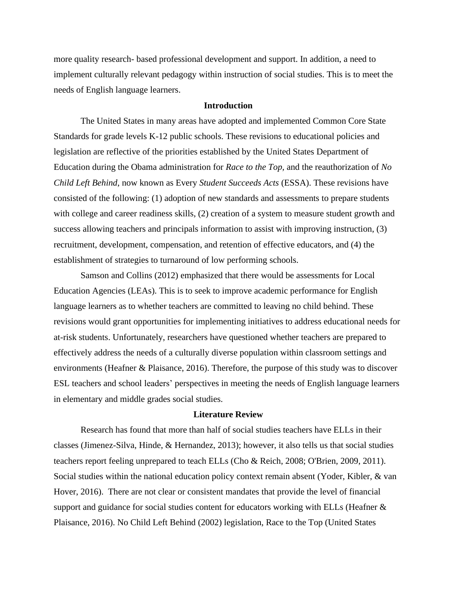more quality research- based professional development and support. In addition, a need to implement culturally relevant pedagogy within instruction of social studies. This is to meet the needs of English language learners.

#### **Introduction**

The United States in many areas have adopted and implemented Common Core State Standards for grade levels K-12 public schools. These revisions to educational policies and legislation are reflective of the priorities established by the United States Department of Education during the Obama administration for *Race to the Top,* and the reauthorization of *No Child Left Behind*, now known as Every *Student Succeeds Acts* (ESSA). These revisions have consisted of the following: (1) adoption of new standards and assessments to prepare students with college and career readiness skills, (2) creation of a system to measure student growth and success allowing teachers and principals information to assist with improving instruction, (3) recruitment, development, compensation, and retention of effective educators, and (4) the establishment of strategies to turnaround of low performing schools.

Samson and Collins (2012) emphasized that there would be assessments for Local Education Agencies (LEAs). This is to seek to improve academic performance for English language learners as to whether teachers are committed to leaving no child behind. These revisions would grant opportunities for implementing initiatives to address educational needs for at-risk students. Unfortunately, researchers have questioned whether teachers are prepared to effectively address the needs of a culturally diverse population within classroom settings and environments (Heafner & Plaisance, 2016). Therefore, the purpose of this study was to discover ESL teachers and school leaders' perspectives in meeting the needs of English language learners in elementary and middle grades social studies.

## **Literature Review**

Research has found that more than half of social studies teachers have ELLs in their classes (Jimenez-Silva, Hinde, & Hernandez, 2013); however, it also tells us that social studies teachers report feeling unprepared to teach ELLs (Cho & Reich, 2008; O'Brien, 2009, 2011). Social studies within the national education policy context remain absent (Yoder, Kibler, & van Hover, 2016). There are not clear or consistent mandates that provide the level of financial support and guidance for social studies content for educators working with ELLs (Heafner & Plaisance, 2016). No Child Left Behind (2002) legislation, Race to the Top (United States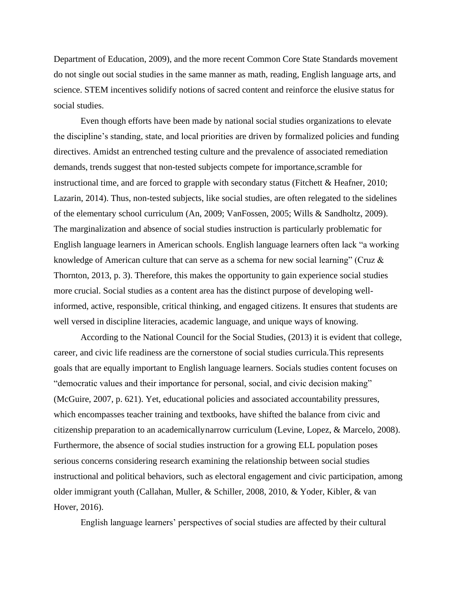Department of Education, 2009), and the more recent Common Core State Standards movement do not single out social studies in the same manner as math, reading, English language arts, and science. STEM incentives solidify notions of sacred content and reinforce the elusive status for social studies.

Even though efforts have been made by national social studies organizations to elevate the discipline's standing, state, and local priorities are driven by formalized policies and funding directives. Amidst an entrenched testing culture and the prevalence of associated remediation demands, trends suggest that non-tested subjects compete for importance,scramble for instructional time, and are forced to grapple with secondary status (Fitchett & Heafner, 2010; Lazarin, 2014). Thus, non-tested subjects, like social studies, are often relegated to the sidelines of the elementary school curriculum (An, 2009; VanFossen, 2005; Wills & Sandholtz, 2009). The marginalization and absence of social studies instruction is particularly problematic for English language learners in American schools. English language learners often lack "a working knowledge of American culture that can serve as a schema for new social learning" (Cruz & Thornton, 2013, p. 3). Therefore, this makes the opportunity to gain experience social studies more crucial. Social studies as a content area has the distinct purpose of developing wellinformed, active, responsible, critical thinking, and engaged citizens. It ensures that students are well versed in discipline literacies, academic language, and unique ways of knowing.

According to the National Council for the Social Studies, (2013) it is evident that college, career, and civic life readiness are the cornerstone of social studies curricula. This represents goals that are equally important to English language learners. Socials studies content focuses on "democratic values and their importance for personal, social, and civic decision making" (McGuire, 2007, p. 621). Yet, educational policies and associated accountability pressures, which encompasses teacher training and textbooks, have shifted the balance from civic and citizenship preparation to an academically narrow curriculum (Levine, Lopez, & Marcelo, 2008). Furthermore, the absence of social studies instruction for a growing ELL population poses serious concerns considering research examining the relationship between social studies instructional and political behaviors, such as electoral engagement and civic participation, among older immigrant youth (Callahan, Muller, & Schiller, 2008, 2010, & Yoder, Kibler, & van Hover, 2016).

English language learners' perspectives of social studies are affected by their cultural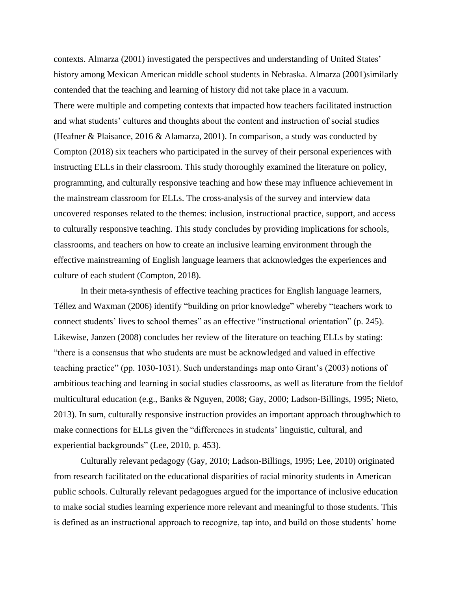contexts. Almarza (2001) investigated the perspectives and understanding of United States' history among Mexican American middle school students in Nebraska. Almarza (2001)similarly contended that the teaching and learning of history did not take place in a vacuum. There were multiple and competing contexts that impacted how teachers facilitated instruction and what students' cultures and thoughts about the content and instruction of social studies (Heafner & Plaisance, 2016 & Alamarza, 2001). In comparison, a study was conducted by Compton (2018) six teachers who participated in the survey of their personal experiences with instructing ELLs in their classroom. This study thoroughly examined the literature on policy, programming, and culturally responsive teaching and how these may influence achievement in the mainstream classroom for ELLs. The cross-analysis of the survey and interview data uncovered responses related to the themes: inclusion, instructional practice, support, and access to culturally responsive teaching. This study concludes by providing implications for schools, classrooms, and teachers on how to create an inclusive learning environment through the effective mainstreaming of English language learners that acknowledges the experiences and culture of each student (Compton, 2018).

In their meta-synthesis of effective teaching practices for English language learners, Téllez and Waxman (2006) identify "building on prior knowledge" whereby "teachers work to connect students' lives to school themes" as an effective "instructional orientation" (p. 245). Likewise, Janzen (2008) concludes her review of the literature on teaching ELLs by stating: "there is a consensus that who students are must be acknowledged and valued in effective teaching practice" (pp. 1030-1031). Such understandings map onto Grant's (2003) notions of ambitious teaching and learning in social studies classrooms, as well as literature from the fieldof multicultural education (e.g., Banks & Nguyen, 2008; Gay, 2000; Ladson-Billings, 1995; Nieto, 2013). In sum, culturally responsive instruction provides an important approach throughwhich to make connections for ELLs given the "differences in students' linguistic, cultural, and experiential backgrounds" (Lee, 2010, p. 453).

Culturally relevant pedagogy (Gay, 2010; Ladson-Billings, 1995; Lee, 2010) originated from research facilitated on the educational disparities of racial minority students in American public schools. Culturally relevant pedagogues argued for the importance of inclusive education to make social studies learning experience more relevant and meaningful to those students. This is defined as an instructional approach to recognize, tap into, and build on those students' home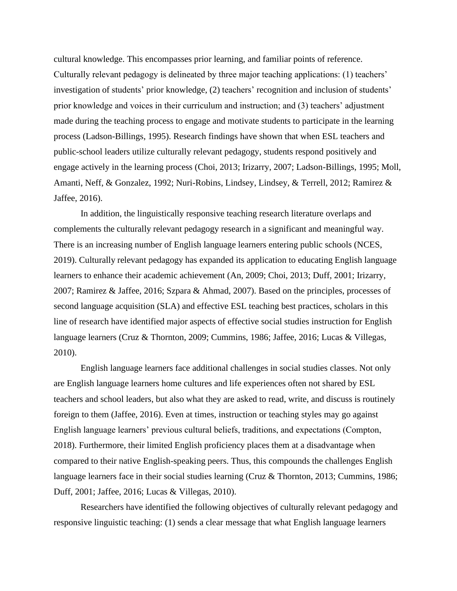cultural knowledge. This encompasses prior learning, and familiar points of reference. Culturally relevant pedagogy is delineated by three major teaching applications: (1) teachers' investigation of students' prior knowledge, (2) teachers' recognition and inclusion of students' prior knowledge and voices in their curriculum and instruction; and (3) teachers' adjustment made during the teaching process to engage and motivate students to participate in the learning process (Ladson-Billings, 1995). Research findings have shown that when ESL teachers and public-school leaders utilize culturally relevant pedagogy, students respond positively and engage actively in the learning process (Choi, 2013; Irizarry, 2007; Ladson-Billings, 1995; Moll, Amanti, Neff, & Gonzalez, 1992; Nuri-Robins, Lindsey, Lindsey, & Terrell, 2012; Ramirez & Jaffee, 2016).

In addition, the linguistically responsive teaching research literature overlaps and complements the culturally relevant pedagogy research in a significant and meaningful way. There is an increasing number of English language learners entering public schools (NCES, 2019). Culturally relevant pedagogy has expanded its application to educating English language learners to enhance their academic achievement (An, 2009; Choi, 2013; Duff, 2001; Irizarry, 2007; Ramirez & Jaffee, 2016; Szpara & Ahmad, 2007). Based on the principles, processes of second language acquisition (SLA) and effective ESL teaching best practices, scholars in this line of research have identified major aspects of effective social studies instruction for English language learners (Cruz & Thornton, 2009; Cummins, 1986; Jaffee, 2016; Lucas & Villegas, 2010).

English language learners face additional challenges in social studies classes. Not only are English language learners home cultures and life experiences often not shared by ESL teachers and school leaders, but also what they are asked to read, write, and discuss is routinely foreign to them (Jaffee, 2016). Even at times, instruction or teaching styles may go against English language learners' previous cultural beliefs, traditions, and expectations (Compton, 2018). Furthermore, their limited English proficiency places them at a disadvantage when compared to their native English-speaking peers. Thus, this compounds the challenges English language learners face in their social studies learning (Cruz & Thornton, 2013; Cummins, 1986; Duff, 2001; Jaffee, 2016; Lucas & Villegas, 2010).

Researchers have identified the following objectives of culturally relevant pedagogy and responsive linguistic teaching: (1) sends a clear message that what English language learners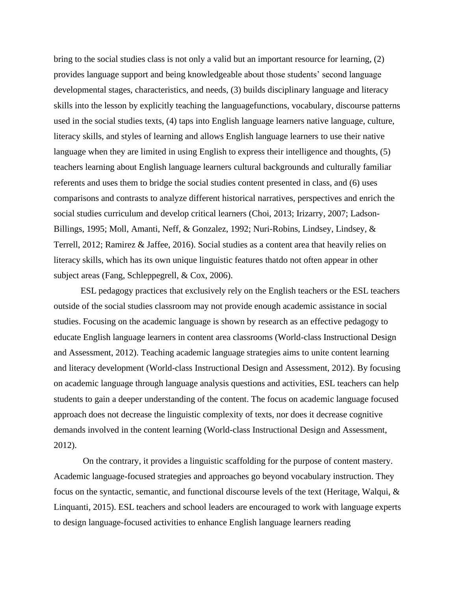bring to the social studies class is not only a valid but an important resource for learning, (2) provides language support and being knowledgeable about those students' second language developmental stages, characteristics, and needs, (3) builds disciplinary language and literacy skills into the lesson by explicitly teaching the languagefunctions, vocabulary, discourse patterns used in the social studies texts, (4) taps into English language learners native language, culture, literacy skills, and styles of learning and allows English language learners to use their native language when they are limited in using English to express their intelligence and thoughts, (5) teachers learning about English language learners cultural backgrounds and culturally familiar referents and uses them to bridge the social studies content presented in class, and (6) uses comparisons and contrasts to analyze different historical narratives, perspectives and enrich the social studies curriculum and develop critical learners (Choi, 2013; Irizarry, 2007; Ladson-Billings, 1995; Moll, Amanti, Neff, & Gonzalez, 1992; Nuri-Robins, Lindsey, Lindsey, & Terrell, 2012; Ramirez & Jaffee, 2016). Social studies as a content area that heavily relies on literacy skills, which has its own unique linguistic features thatdo not often appear in other subject areas (Fang, Schleppegrell, & Cox, 2006).

ESL pedagogy practices that exclusively rely on the English teachers or the ESL teachers outside of the social studies classroom may not provide enough academic assistance in social studies. Focusing on the academic language is shown by research as an effective pedagogy to educate English language learners in content area classrooms (World-class Instructional Design and Assessment, 2012). Teaching academic language strategies aims to unite content learning and literacy development (World-class Instructional Design and Assessment, 2012). By focusing on academic language through language analysis questions and activities, ESL teachers can help students to gain a deeper understanding of the content. The focus on academic language focused approach does not decrease the linguistic complexity of texts, nor does it decrease cognitive demands involved in the content learning (World-class Instructional Design and Assessment, 2012).

On the contrary, it provides a linguistic scaffolding for the purpose of content mastery. Academic language-focused strategies and approaches go beyond vocabulary instruction. They focus on the syntactic, semantic, and functional discourse levels of the text (Heritage, Walqui, & Linquanti, 2015). ESL teachers and school leaders are encouraged to work with language experts to design language-focused activities to enhance English language learners reading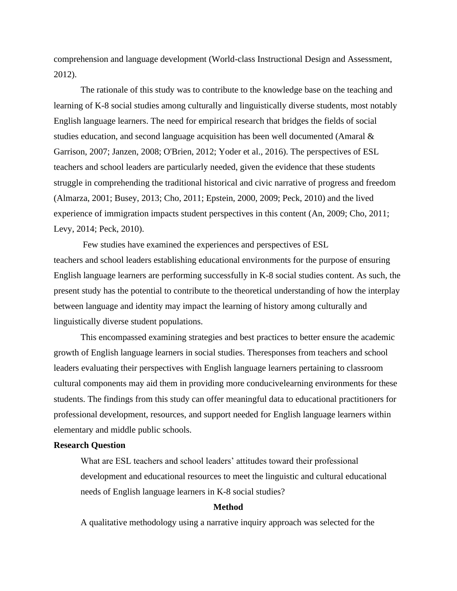comprehension and language development (World-class Instructional Design and Assessment, 2012).

The rationale of this study was to contribute to the knowledge base on the teaching and learning of K-8 social studies among culturally and linguistically diverse students, most notably English language learners. The need for empirical research that bridges the fields of social studies education, and second language acquisition has been well documented (Amaral & Garrison, 2007; Janzen, 2008; O'Brien, 2012; Yoder et al., 2016). The perspectives of ESL teachers and school leaders are particularly needed, given the evidence that these students struggle in comprehending the traditional historical and civic narrative of progress and freedom (Almarza, 2001; Busey, 2013; Cho, 2011; Epstein, 2000, 2009; Peck, 2010) and the lived experience of immigration impacts student perspectives in this content (An, 2009; Cho, 2011; Levy, 2014; Peck, 2010).

Few studies have examined the experiences and perspectives of ESL teachers and school leaders establishing educational environments for the purpose of ensuring English language learners are performing successfully in K-8 social studies content. As such, the present study has the potential to contribute to the theoretical understanding of how the interplay between language and identity may impact the learning of history among culturally and linguistically diverse student populations.

This encompassed examining strategies and best practices to better ensure the academic growth of English language learners in social studies. Theresponses from teachers and school leaders evaluating their perspectives with English language learners pertaining to classroom cultural components may aid them in providing more conducivelearning environments for these students. The findings from this study can offer meaningful data to educational practitioners for professional development, resources, and support needed for English language learners within elementary and middle public schools.

#### **Research Question**

What are ESL teachers and school leaders' attitudes toward their professional development and educational resources to meet the linguistic and cultural educational needs of English language learners in K-8 social studies?

## **Method**

A qualitative methodology using a narrative inquiry approach was selected for the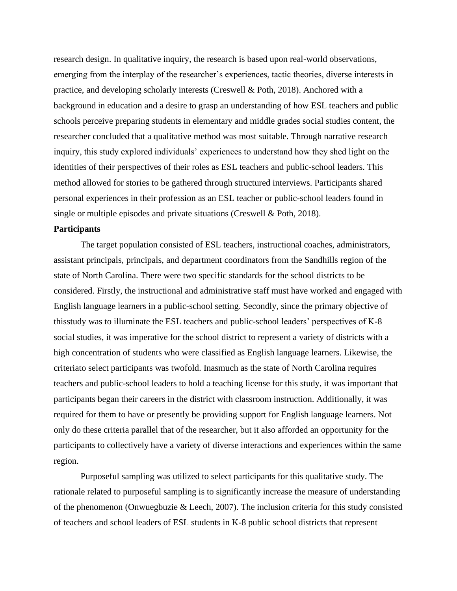research design. In qualitative inquiry, the research is based upon real-world observations, emerging from the interplay of the researcher's experiences, tactic theories, diverse interests in practice, and developing scholarly interests (Creswell & Poth, 2018). Anchored with a background in education and a desire to grasp an understanding of how ESL teachers and public schools perceive preparing students in elementary and middle grades social studies content, the researcher concluded that a qualitative method was most suitable. Through narrative research inquiry, this study explored individuals' experiences to understand how they shed light on the identities of their perspectives of their roles as ESL teachers and public-school leaders. This method allowed for stories to be gathered through structured interviews. Participants shared personal experiences in their profession as an ESL teacher or public-school leaders found in single or multiple episodes and private situations (Creswell & Poth, 2018).

#### **Participants**

The target population consisted of ESL teachers, instructional coaches, administrators, assistant principals, principals, and department coordinators from the Sandhills region of the state of North Carolina. There were two specific standards for the school districts to be considered. Firstly, the instructional and administrative staff must have worked and engaged with English language learners in a public-school setting. Secondly, since the primary objective of thisstudy was to illuminate the ESL teachers and public-school leaders' perspectives of K-8 social studies, it was imperative for the school district to represent a variety of districts with a high concentration of students who were classified as English language learners. Likewise, the criteriato select participants was twofold. Inasmuch as the state of North Carolina requires teachers and public-school leaders to hold a teaching license for this study, it was important that participants began their careers in the district with classroom instruction. Additionally, it was required for them to have or presently be providing support for English language learners. Not only do these criteria parallel that of the researcher, but it also afforded an opportunity for the participants to collectively have a variety of diverse interactions and experiences within the same region.

Purposeful sampling was utilized to select participants for this qualitative study. The rationale related to purposeful sampling is to significantly increase the measure of understanding of the phenomenon (Onwuegbuzie & Leech, 2007). The inclusion criteria for this study consisted of teachers and school leaders of ESL students in K-8 public school districts that represent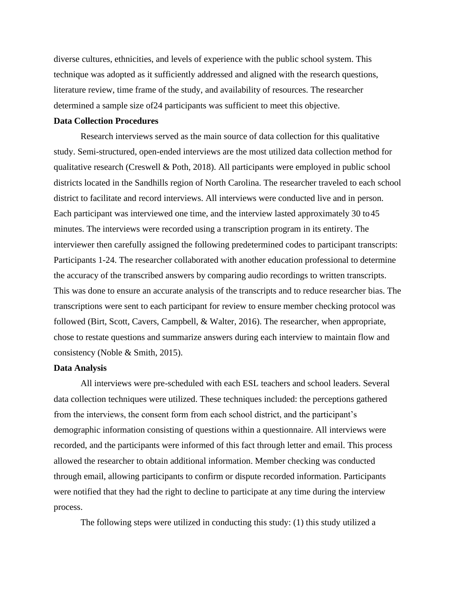diverse cultures, ethnicities, and levels of experience with the public school system. This technique was adopted as it sufficiently addressed and aligned with the research questions, literature review, time frame of the study, and availability of resources. The researcher determined a sample size of24 participants was sufficient to meet this objective.

#### **Data Collection Procedures**

Research interviews served as the main source of data collection for this qualitative study. Semi-structured, open-ended interviews are the most utilized data collection method for qualitative research (Creswell & Poth, 2018). All participants were employed in public school districts located in the Sandhills region of North Carolina. The researcher traveled to each school district to facilitate and record interviews. All interviews were conducted live and in person. Each participant was interviewed one time, and the interview lasted approximately 30 to 45 minutes. The interviews were recorded using a transcription program in its entirety. The interviewer then carefully assigned the following predetermined codes to participant transcripts: Participants 1-24. The researcher collaborated with another education professional to determine the accuracy of the transcribed answers by comparing audio recordings to written transcripts. This was done to ensure an accurate analysis of the transcripts and to reduce researcher bias. The transcriptions were sent to each participant for review to ensure member checking protocol was followed (Birt, Scott, Cavers, Campbell, & Walter, 2016). The researcher, when appropriate, chose to restate questions and summarize answers during each interview to maintain flow and consistency (Noble & Smith, 2015).

#### **Data Analysis**

All interviews were pre-scheduled with each ESL teachers and school leaders. Several data collection techniques were utilized. These techniques included: the perceptions gathered from the interviews, the consent form from each school district, and the participant's demographic information consisting of questions within a questionnaire. All interviews were recorded, and the participants were informed of this fact through letter and email. This process allowed the researcher to obtain additional information. Member checking was conducted through email, allowing participants to confirm or dispute recorded information. Participants were notified that they had the right to decline to participate at any time during the interview process.

The following steps were utilized in conducting this study: (1) this study utilized a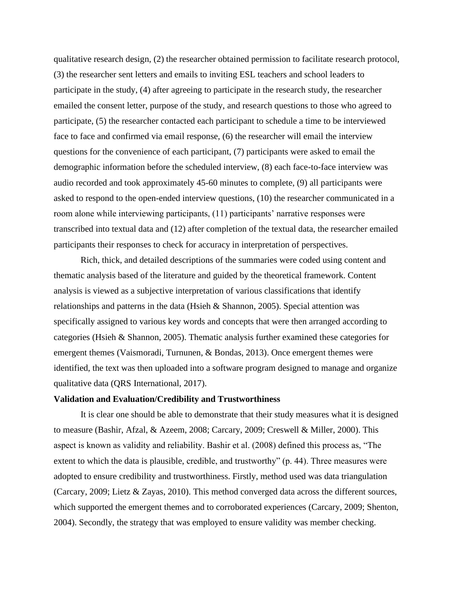qualitative research design, (2) the researcher obtained permission to facilitate research protocol, (3) the researcher sent letters and emails to inviting ESL teachers and school leaders to participate in the study, (4) after agreeing to participate in the research study, the researcher emailed the consent letter, purpose of the study, and research questions to those who agreed to participate, (5) the researcher contacted each participant to schedule a time to be interviewed face to face and confirmed via email response, (6) the researcher will email the interview questions for the convenience of each participant, (7) participants were asked to email the demographic information before the scheduled interview, (8) each face-to-face interview was audio recorded and took approximately 45-60 minutes to complete, (9) all participants were asked to respond to the open-ended interview questions, (10) the researcher communicated in a room alone while interviewing participants, (11) participants' narrative responses were transcribed into textual data and (12) after completion of the textual data, the researcher emailed participants their responses to check for accuracy in interpretation of perspectives.

Rich, thick, and detailed descriptions of the summaries were coded using content and thematic analysis based of the literature and guided by the theoretical framework. Content analysis is viewed as a subjective interpretation of various classifications that identify relationships and patterns in the data (Hsieh  $\&$  Shannon, 2005). Special attention was specifically assigned to various key words and concepts that were then arranged according to categories (Hsieh & Shannon, 2005). Thematic analysis further examined these categories for emergent themes (Vaismoradi, Turnunen, & Bondas, 2013). Once emergent themes were identified, the text was then uploaded into a software program designed to manage and organize qualitative data (QRS International, 2017).

#### **Validation and Evaluation/Credibility and Trustworthiness**

It is clear one should be able to demonstrate that their study measures what it is designed to measure (Bashir, Afzal, & Azeem, 2008; Carcary, 2009; Creswell & Miller, 2000). This aspect is known as validity and reliability. Bashir et al. (2008) defined this process as, "The extent to which the data is plausible, credible, and trustworthy" (p. 44). Three measures were adopted to ensure credibility and trustworthiness. Firstly, method used was data triangulation (Carcary, 2009; Lietz & Zayas, 2010). This method converged data across the different sources, which supported the emergent themes and to corroborated experiences (Carcary, 2009; Shenton, 2004). Secondly, the strategy that was employed to ensure validity was member checking.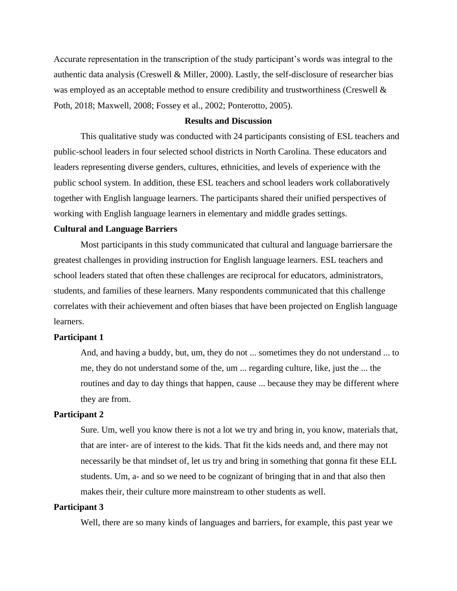Accurate representation in the transcription of the study participant's words was integral to the authentic data analysis (Creswell & Miller, 2000). Lastly, the self-disclosure of researcher bias was employed as an acceptable method to ensure credibility and trustworthiness (Creswell & Poth, 2018; Maxwell, 2008; Fossey et al., 2002; Ponterotto, 2005).

#### **Results and Discussion**

This qualitative study was conducted with 24 participants consisting of ESL teachers and public-school leaders in four selected school districts in North Carolina. These educators and leaders representing diverse genders, cultures, ethnicities, and levels of experience with the public school system. In addition, these ESL teachers and school leaders work collaboratively together with English language learners. The participants shared their unified perspectives of working with English language learners in elementary and middle grades settings.

#### **Cultural and Language Barriers**

Most participants in this study communicated that cultural and language barriersare the greatest challenges in providing instruction for English language learners. ESL teachers and school leaders stated that often these challenges are reciprocal for educators, administrators, students, and families of these learners. Many respondents communicated that this challenge correlates with their achievement and often biases that have been projected on English language learners.

#### **Participant 1**

And, and having a buddy, but, um, they do not ... sometimes they do not understand ... to me, they do not understand some of the, um ... regarding culture, like, just the ... the routines and day to day things that happen, cause ... because they may be different where they are from.

# **Participant 2**

Sure. Um, well you know there is not a lot we try and bring in, you know, materials that, that are inter- are of interest to the kids. That fit the kids needs and, and there may not necessarily be that mindset of, let us try and bring in something that gonna fit these ELL students. Um, a- and so we need to be cognizant of bringing that in and that also then makes their, their culture more mainstream to other students as well.

## **Participant 3**

Well, there are so many kinds of languages and barriers, for example, this past year we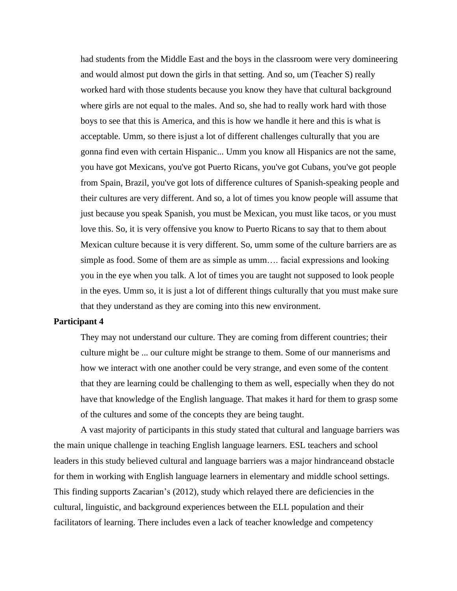had students from the Middle East and the boys in the classroom were very domineering and would almost put down the girls in that setting. And so, um (Teacher S) really worked hard with those students because you know they have that cultural background where girls are not equal to the males. And so, she had to really work hard with those boys to see that this is America, and this is how we handle it here and this is what is acceptable. Umm, so there is just a lot of different challenges culturally that you are gonna find even with certain Hispanic... Umm you know all Hispanics are not the same, you have got Mexicans, you've got Puerto Ricans, you've got Cubans, you've got people from Spain, Brazil, you've got lots of difference cultures of Spanish-speaking people and their cultures are very different. And so, a lot of times you know people will assume that just because you speak Spanish, you must be Mexican, you must like tacos, or you must love this. So, it is very offensive you know to Puerto Ricans to say that to them about Mexican culture because it is very different. So, umm some of the culture barriers are as simple as food. Some of them are as simple as umm…. facial expressions and looking you in the eye when you talk. A lot of times you are taught not supposed to look people in the eyes. Umm so, it is just a lot of different things culturally that you must make sure that they understand as they are coming into this new environment.

#### **Participant 4**

They may not understand our culture. They are coming from different countries; their culture might be ... our culture might be strange to them. Some of our mannerisms and how we interact with one another could be very strange, and even some of the content that they are learning could be challenging to them as well, especially when they do not have that knowledge of the English language. That makes it hard for them to grasp some of the cultures and some of the concepts they are being taught.

A vast majority of participants in this study stated that cultural and language barriers was the main unique challenge in teaching English language learners. ESL teachers and school leaders in this study believed cultural and language barriers was a major hindranceand obstacle for them in working with English language learners in elementary and middle school settings. This finding supports Zacarian's (2012), study which relayed there are deficiencies in the cultural, linguistic, and background experiences between the ELL population and their facilitators of learning. There includes even a lack of teacher knowledge and competency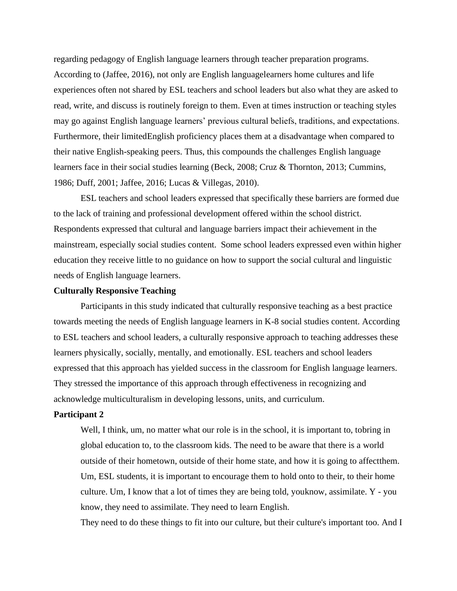regarding pedagogy of English language learners through teacher preparation programs. According to (Jaffee, 2016), not only are English languagelearners home cultures and life experiences often not shared by ESL teachers and school leaders but also what they are asked to read, write, and discuss is routinely foreign to them. Even at times instruction or teaching styles may go against English language learners' previous cultural beliefs, traditions, and expectations. Furthermore, their limitedEnglish proficiency places them at a disadvantage when compared to their native English-speaking peers. Thus, this compounds the challenges English language learners face in their social studies learning (Beck, 2008; Cruz & Thornton, 2013; Cummins, 1986; Duff, 2001; Jaffee, 2016; Lucas & Villegas, 2010).

ESL teachers and school leaders expressed that specifically these barriers are formed due to the lack of training and professional development offered within the school district. Respondents expressed that cultural and language barriers impact their achievement in the mainstream, especially social studies content. Some school leaders expressed even within higher education they receive little to no guidance on how to support the social cultural and linguistic needs of English language learners.

#### **Culturally Responsive Teaching**

Participants in this study indicated that culturally responsive teaching as a best practice towards meeting the needs of English language learners in K-8 social studies content. According to ESL teachers and school leaders, a culturally responsive approach to teaching addresses these learners physically, socially, mentally, and emotionally. ESL teachers and school leaders expressed that this approach has yielded success in the classroom for English language learners. They stressed the importance of this approach through effectiveness in recognizing and acknowledge multiculturalism in developing lessons, units, and curriculum.

## **Participant 2**

Well, I think, um, no matter what our role is in the school, it is important to, tobring in global education to, to the classroom kids. The need to be aware that there is a world outside of their hometown, outside of their home state, and how it is going to affectthem. Um, ESL students, it is important to encourage them to hold onto to their, to their home culture. Um, I know that a lot of times they are being told, youknow, assimilate. Y - you know, they need to assimilate. They need to learn English.

They need to do these things to fit into our culture, but their culture's important too. And I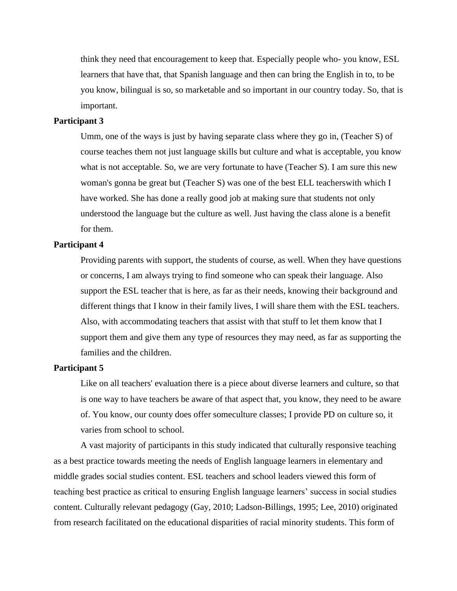think they need that encouragement to keep that. Especially people who- you know, ESL learners that have that, that Spanish language and then can bring the English in to, to be you know, bilingual is so, so marketable and so important in our country today. So, that is important.

#### **Participant 3**

Umm, one of the ways is just by having separate class where they go in, (Teacher S) of course teaches them not just language skills but culture and what is acceptable, you know what is not acceptable. So, we are very fortunate to have (Teacher S). I am sure this new woman's gonna be great but (Teacher S) was one of the best ELL teacherswith which I have worked. She has done a really good job at making sure that students not only understood the language but the culture as well. Just having the class alone is a benefit for them.

#### **Participant 4**

Providing parents with support, the students of course, as well. When they have questions or concerns, I am always trying to find someone who can speak their language. Also support the ESL teacher that is here, as far as their needs, knowing their background and different things that I know in their family lives, I will share them with the ESL teachers. Also, with accommodating teachers that assist with that stuff to let them know that I support them and give them any type of resources they may need, as far as supporting the families and the children.

#### **Participant 5**

Like on all teachers' evaluation there is a piece about diverse learners and culture, so that is one way to have teachers be aware of that aspect that, you know, they need to be aware of. You know, our county does offer someculture classes; I provide PD on culture so, it varies from school to school.

A vast majority of participants in this study indicated that culturally responsive teaching as a best practice towards meeting the needs of English language learners in elementary and middle grades social studies content. ESL teachers and school leaders viewed this form of teaching best practice as critical to ensuring English language learners' success in social studies content. Culturally relevant pedagogy (Gay, 2010; Ladson-Billings, 1995; Lee, 2010) originated from research facilitated on the educational disparities of racial minority students. This form of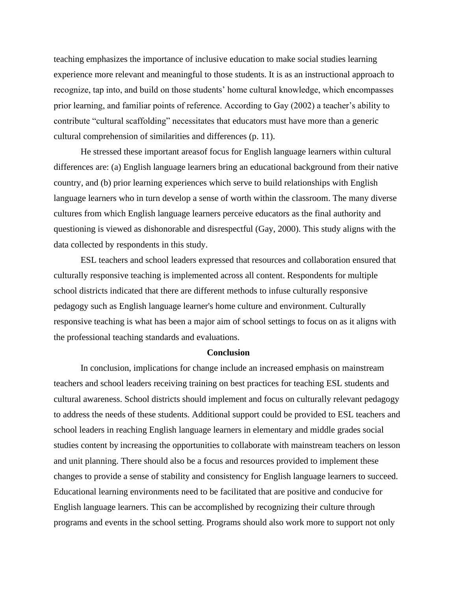teaching emphasizes the importance of inclusive education to make social studies learning experience more relevant and meaningful to those students. It is as an instructional approach to recognize, tap into, and build on those students' home cultural knowledge, which encompasses prior learning, and familiar points of reference. According to Gay (2002) a teacher's ability to contribute "cultural scaffolding" necessitates that educators must have more than a generic cultural comprehension of similarities and differences (p. 11).

He stressed these important areasof focus for English language learners within cultural differences are: (a) English language learners bring an educational background from their native country, and (b) prior learning experiences which serve to build relationships with English language learners who in turn develop a sense of worth within the classroom. The many diverse cultures from which English language learners perceive educators as the final authority and questioning is viewed as dishonorable and disrespectful (Gay, 2000). This study aligns with the data collected by respondents in this study.

ESL teachers and school leaders expressed that resources and collaboration ensured that culturally responsive teaching is implemented across all content. Respondents for multiple school districts indicated that there are different methods to infuse culturally responsive pedagogy such as English language learner's home culture and environment. Culturally responsive teaching is what has been a major aim of school settings to focus on as it aligns with the professional teaching standards and evaluations.

#### **Conclusion**

In conclusion, implications for change include an increased emphasis on mainstream teachers and school leaders receiving training on best practices for teaching ESL students and cultural awareness. School districts should implement and focus on culturally relevant pedagogy to address the needs of these students. Additional support could be provided to ESL teachers and school leaders in reaching English language learners in elementary and middle grades social studies content by increasing the opportunities to collaborate with mainstream teachers on lesson and unit planning. There should also be a focus and resources provided to implement these changes to provide a sense of stability and consistency for English language learners to succeed. Educational learning environments need to be facilitated that are positive and conducive for English language learners. This can be accomplished by recognizing their culture through programs and events in the school setting. Programs should also work more to support not only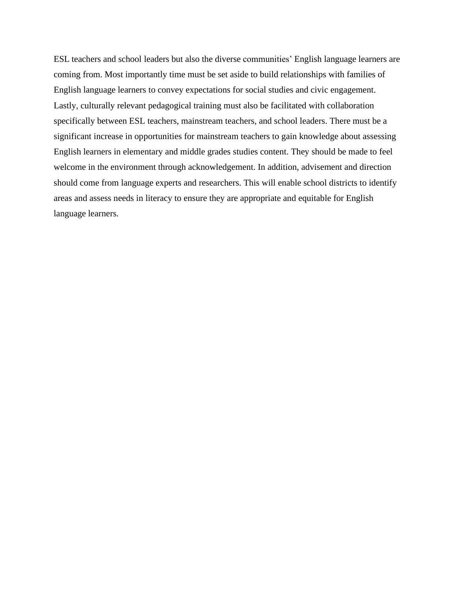ESL teachers and school leaders but also the diverse communities' English language learners are coming from. Most importantly time must be set aside to build relationships with families of English language learners to convey expectations for social studies and civic engagement. Lastly, culturally relevant pedagogical training must also be facilitated with collaboration specifically between ESL teachers, mainstream teachers, and school leaders. There must be a significant increase in opportunities for mainstream teachers to gain knowledge about assessing English learners in elementary and middle grades studies content. They should be made to feel welcome in the environment through acknowledgement. In addition, advisement and direction should come from language experts and researchers. This will enable school districts to identify areas and assess needs in literacy to ensure they are appropriate and equitable for English language learners.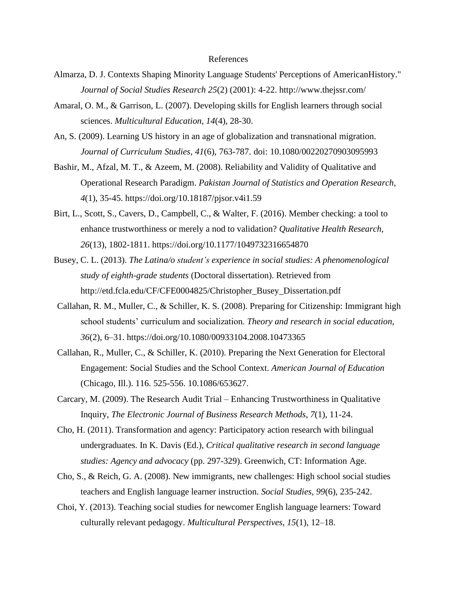#### References

- Almarza, D. J. Contexts Shaping Minority Language Students' Perceptions of AmericanHistory." *Journal of Social Studies Research 25*(2) (2001): 4-22. <http://www.thejssr.com/>
- Amaral, O. M., & Garrison, L. (2007). Developing skills for English learners through social sciences. *Multicultural Education, 14*(4), 28-30.
- An, S. (2009). Learning US history in an age of globalization and transnational migration. *Journal of Curriculum Studies, 41*(6), 763-787. doi: 10.1080/00220270903095993
- Bashir, M., Afzal, M. T., & Azeem, M. (2008). Reliability and Validity of Qualitative and Operational Research Paradigm. *Pakistan Journal of Statistics and Operation Research, 4*(1), 35-45. https://doi.org/10.18187/pjsor.v4i1.59
- Birt, L., Scott, S., Cavers, D., Campbell, C., & Walter, F. (2016). Member checking: a tool to enhance trustworthiness or merely a nod to validation? *Qualitative Health Research, 26*(13), 1802-1811. https://doi.org/10.1177/1049732316654870
- Busey, C. L. (2013). *The Latina/o student's experience in social studies: A phenomenological study of eighth-grade students* (Doctoral dissertation). Retrieved from [http://etd.fcla.edu/CF/CFE0004825/Christopher\\_Busey\\_Dissertation.pdf](http://etd.fcla.edu/CF/CFE0004825/Christopher_Busey_Dissertation.pdf)
- Callahan, R. M., Muller, C., & Schiller, K. S. (2008). Preparing for Citizenship: Immigrant high school students' curriculum and socialization. *Theory and research in social education, 36*(2), 6–31. https://doi.org/10.1080/00933104.2008.10473365
- Callahan, R., Muller, C., & Schiller, K. (2010). Preparing the Next Generation for Electoral Engagement: Social Studies and the School Context. *American Journal of Education* (Chicago, Ill.). 116. 525-556. 10.1086/653627.
- Carcary, M. (2009). The Research Audit Trial Enhancing Trustworthiness in Qualitative Inquiry, *The Electronic Journal of Business Research Methods*, *7*(1), 11-24.
- Cho, H. (2011). Transformation and agency: Participatory action research with bilingual undergraduates. In K. Davis (Ed.), *Critical qualitative research in second language studies: Agency and advocacy* (pp. 297-329). Greenwich, CT: Information Age.
- Cho, S., & Reich, G. A. (2008). New immigrants, new challenges: High school social studies teachers and English language learner instruction. *Social Studies, 99*(6), 235-242.
- Choi, Y. (2013). Teaching social studies for newcomer English language learners: Toward culturally relevant pedagogy. *Multicultural Perspectives*, *15*(1), 12–18.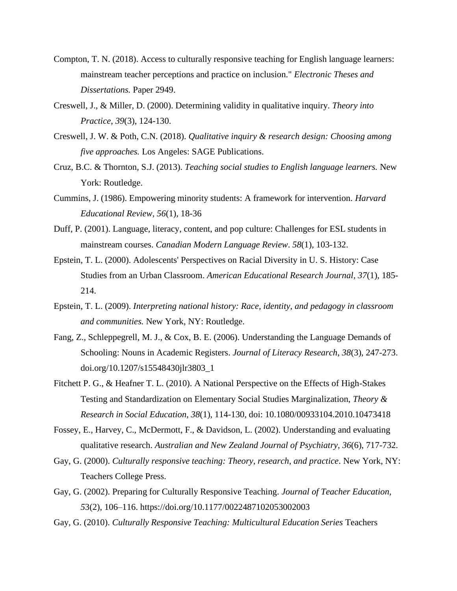- Compton, T. N. (2018). Access to culturally responsive teaching for English language learners: mainstream teacher perceptions and practice on inclusion." *Electronic Theses and Dissertations.* Paper 2949.
- Creswell, J., & Miller, D. (2000). Determining validity in qualitative inquiry. *Theory into Practice*, *39*(3), 124-130.
- Creswell, J. W. & Poth, C.N. (2018). *Qualitative inquiry & research design: Choosing among five approaches.* Los Angeles: SAGE Publications.
- Cruz, B.C. & Thornton, S.J. (2013). *Teaching social studies to English language learners.* New York: Routledge.
- Cummins, J. (1986). Empowering minority students: A framework for intervention. *Harvard Educational Review, 56*(1)*,* 18-36
- Duff, P. (2001). Language, literacy, content, and pop culture: Challenges for ESL students in mainstream courses. *Canadian Modern Language Review*. *58*(1)*,* 103-132.
- Epstein, T. L. (2000). Adolescents' Perspectives on Racial Diversity in U. S. History: Case Studies from an Urban Classroom. *American Educational Research Journal, 37*(1), 185- 214.
- Epstein, T. L. (2009). *Interpreting national history: Race, identity, and pedagogy in classroom and communities.* New York, NY: Routledge.
- Fang, Z., Schleppegrell, M. J., & Cox, B. E. (2006). Understanding the Language Demands of Schooling: Nouns in Academic Registers. *Journal of Literacy Research*, *38*(3), 247-273. doi.org/10.1207/s15548430jlr3803\_1
- Fitchett P. G., & Heafner T. L. (2010). A National Perspective on the Effects of High-Stakes Testing and Standardization on Elementary Social Studies Marginalization, *Theory & Research in Social Education, 38*(1), 114-130, doi: 10.1080/00933104.2010.10473418
- Fossey, E., Harvey, C., McDermott, F., & Davidson, L. (2002). Understanding and evaluating qualitative research. *Australian and New Zealand Journal of Psychiatry*, *36*(6), 717-732.
- Gay, G. (2000). *Culturally responsive teaching: Theory, research, and practice*. New York, NY: Teachers College Press.
- Gay, G. (2002). Preparing for Culturally Responsive Teaching. *Journal of Teacher Education, 5*3(2), 106–116. https://doi.org/10.1177/0022487102053002003
- Gay, G. (2010). *Culturally Responsive Teaching: Multicultural Education Series* Teachers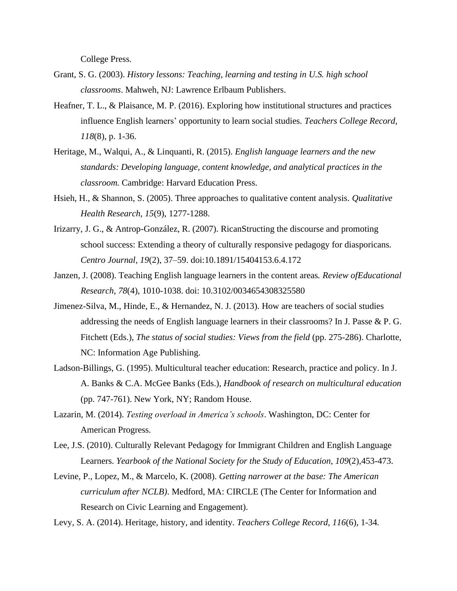College Press.

- Grant, S. G. (2003). *History lessons: Teaching, learning and testing in U.S. high school classrooms*. Mahweh, NJ: Lawrence Erlbaum Publishers.
- Heafner, T. L., & Plaisance, M. P. (2016). Exploring how institutional structures and practices influence English learners' opportunity to learn social studies. *Teachers College Record*, *118*(8), p. 1-36.
- Heritage, M., Walqui, A., & Linquanti, R. (2015). *English language learners and the new standards: Developing language, content knowledge, and analytical practices in the classroom.* Cambridge: Harvard Education Press.
- Hsieh, H., & Shannon, S. (2005). Three approaches to qualitative content analysis. *Qualitative Health Research*, *15*(9), 1277-1288.
- Irizarry, J. G., & Antrop-González, R. (2007). RicanStructing the discourse and promoting school success: Extending a theory of culturally responsive pedagogy for diasporicans*. Centro Journal, 19*(2), 37–59. doi:10.1891/15404153.6.4.172
- Janzen, J. (2008). Teaching English language learners in the content areas*. Review ofEducational Research, 78*(4), 1010-1038. doi: 10.3102/0034654308325580
- Jimenez-Silva, M., Hinde, E., & Hernandez, N. J. (2013). How are teachers of social studies addressing the needs of English language learners in their classrooms? In J. Passe & P. G. Fitchett (Eds.), *The status of social studies: Views from the field* (pp. 275-286). Charlotte, NC: Information Age Publishing.
- Ladson-Billings, G. (1995). Multicultural teacher education: Research, practice and policy. In J. A. Banks & C.A. McGee Banks (Eds.), *Handbook of research on multicultural education* (pp. 747-761). New York, NY; Random House.
- Lazarin, M. (2014). *Testing overload in America's schools*. Washington, DC: Center for American Progress.
- Lee, J.S. (2010). Culturally Relevant Pedagogy for Immigrant Children and English Language Learners. *Yearbook of the National Society for the Study of Education*, *109*(2),453-473.
- Levine, P., Lopez, M., & Marcelo, K. (2008). *Getting narrower at the base: The American curriculum after NCLB)*. Medford, MA: CIRCLE (The Center for Information and Research on Civic Learning and Engagement).

Levy, S. A. (2014). Heritage, history, and identity. *Teachers College Record, 116*(6), 1-34*.*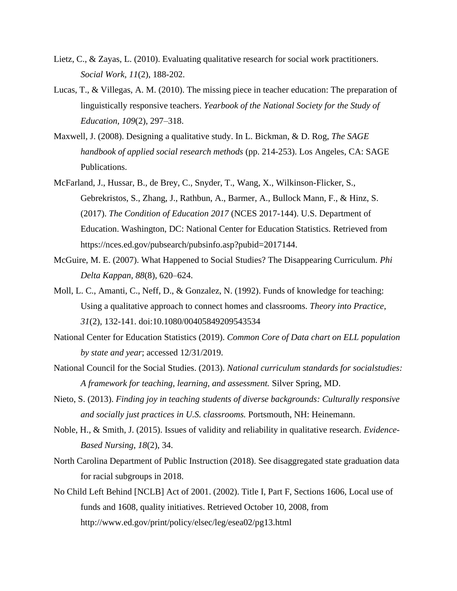- Lietz, C., & Zayas, L. (2010). Evaluating qualitative research for social work practitioners. *Social Work, 11*(2), 188-202.
- Lucas, T., & Villegas, A. M. (2010). The missing piece in teacher education: The preparation of linguistically responsive teachers. *Yearbook of the National Society for the Study of Education, 109*(2), 297–318.
- Maxwell, J. (2008). Designing a qualitative study. In L. Bickman, & D. Rog, *The SAGE handbook of applied social research methods* (pp. 214-253). Los Angeles, CA: SAGE Publications.
- McFarland, J., Hussar, B., de Brey, C., Snyder, T., Wang, X., Wilkinson-Flicker, S., Gebrekristos, S., Zhang, J., Rathbun, A., Barmer, A., Bullock Mann, F., & Hinz, S. (2017). *The Condition of Education 2017* (NCES 2017-144). U.S. Department of Education. Washington, DC: National Center for Education Statistics. Retrieved from https://nces.ed.gov/pubsearch/pubsinfo.asp?pubid=2017144.
- McGuire, M. E. (2007). What Happened to Social Studies? The Disappearing Curriculum. *Phi Delta Kappan, 88*(8), 620–624.
- Moll, L. C., Amanti, C., Neff, D., & Gonzalez, N. (1992). Funds of knowledge for teaching: Using a qualitative approach to connect homes and classrooms. *Theory into Practice*, *31*(2), 132-141. doi:10.1080/00405849209543534
- National Center for Education Statistics (2019). *Common Core of Data chart on ELL population by state and year*; accessed 12/31/2019.
- National Council for the Social Studies. (2013). *National curriculum standards for socialstudies: A framework for teaching, learning, and assessment.* Silver Spring, MD.
- Nieto, S. (2013). *Finding joy in teaching students of diverse backgrounds: Culturally responsive and socially just practices in U.S. classrooms.* Portsmouth, NH: Heinemann.
- Noble, H., & Smith, J. (2015). Issues of validity and reliability in qualitative research. *Evidence-Based Nursing*, *18*(2), 34.
- North Carolina Department of Public Instruction (2018). See disaggregated state graduation data for racial subgroups in 2018.
- No Child Left Behind [NCLB] Act of 2001. (2002). Title I, Part F, Sections 1606, Local use of funds and 1608, quality initiatives. Retrieved October 10, 2008, from <http://www.ed.gov/print/policy/elsec/leg/esea02/pg13.html>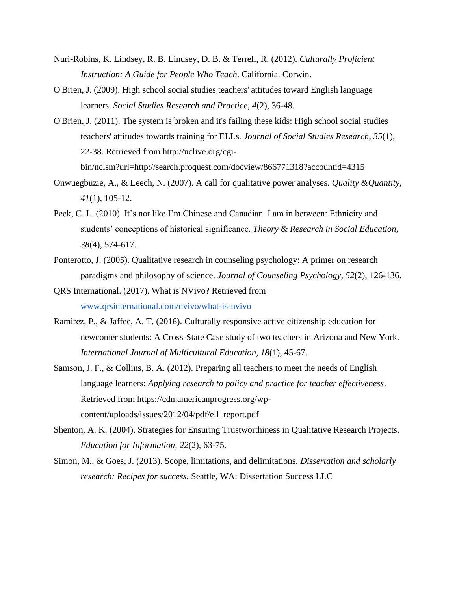- Nuri-Robins, K. Lindsey, R. B. Lindsey, D. B. & Terrell, R. (2012). *Culturally Proficient Instruction: A Guide for People Who Teach*. California. Corwin.
- O'Brien, J. (2009). High school social studies teachers' attitudes toward English language learners. *Social Studies Research and Practice, 4*(2), 36-48.
- O'Brien, J. (2011). The system is broken and it's failing these kids: High school social studies teachers' attitudes towards training for ELLs*. Journal of Social Studies Research*, *35*(1), 22-38. Retrieved from [http://nclive.org/cgi](http://nclive.org/cgi-)bin/nclsm?url[=http://search.proquest.com/docview/866771318?accountid=4315](http://search.proquest.com/docview/866771318?accountid=4315)
- Onwuegbuzie, A., & Leech, N. (2007). A call for qualitative power analyses. *Quality &Quantity*, *41*(1), 105-12.
- Peck, C. L. (2010). It's not like I'm Chinese and Canadian. I am in between: Ethnicity and students' conceptions of historical significance. *Theory & Research in Social Education, 38*(4), 574-617.
- Ponterotto, J. (2005). Qualitative research in counseling psychology: A primer on research paradigms and philosophy of science. *Journal of Counseling Psychology*, *52*(2), 126-136.
- QRS International. (2017). What is NVivo? Retrieved from [www.qrsinternational.com/nvivo/what-is-nvivo](http://www.qrsinternational.com/nvivo/what-is-nvivo)
- Ramirez, P., & Jaffee, A. T. (2016). Culturally responsive active citizenship education for newcomer students: A Cross-State Case study of two teachers in Arizona and New York. *International Journal of Multicultural Education, 18*(1), 45-67.
- Samson, J. F., & Collins, B. A. (2012). Preparing all teachers to meet the needs of English language learners: *Applying research to policy and practice for teacher effectiveness*. Retrieved from https://cdn.americanprogress.org/wpcontent/uploads/issues/2012/04/pdf/ell\_report.pdf
- Shenton, A. K. (2004). Strategies for Ensuring Trustworthiness in Qualitative Research Projects. *Education for Information, 22*(2), 63-75.
- Simon, M., & Goes, J. (2013). Scope, limitations, and delimitations. *Dissertation and scholarly research: Recipes for success.* Seattle, WA: Dissertation Success LLC